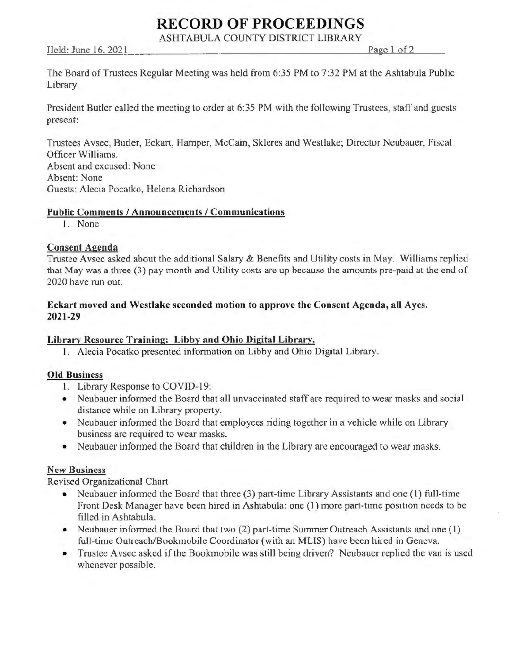# **RECORD OF PROCEEDINGS**

ASHTABULA COUNTY DISTRICT LIBRARY

Held: June 16, 2021 Page 1 of 2

The Board of Trustees Regular Meeting was held from 6:35 PM to 7:32 PM at the Ashtabula Public Library.

President Butler called the meeting to order at 6:35 PM with the following Trustees, staff and guests present:

Trustees Avsec, Butler, Eckart, Hamper, McCain, Skleres and Westlake; Director Neubauer, Fiscal Officer Williams. Absent and excused: None Absent: None Guests: Alecia Pocatko, Helena Richardson

#### **Public Comments/ Announcements/ Communications**

1. None

## **Consent Agenda**

Trustee Avsec asked about the additional Salary & Benefits and Utility costs in May. Williams replied that May was a three (3) pay month and Utility costs are up because the amounts pre-paid at the end of 2020 have run out.

### **Eckart moved and Westlake seconded motion** to **approve the Consent Agenda, all Ayes. 2021-29**

## **Library Resource Training: Libby and Ohio Digital Library.**

1. Alecia Pocatko presented information on Libby and Ohio Digital Library.

#### **Old Business**

- 1. Library Response to COVID-19:
- Neubauer informed the Board that all unvaccinated staff are required to wear masks and social distance while on Library property.
- Neubauer informed the Board that employees riding together in a vehicle while on Library business are required to wear masks.
- Neubauer informed the Board that children in the Library are encouraged to wear masks.

#### **New Business**

Revised Organizational Chart

- Neubauer informed the Board that three (3) part-time Library Assistants and one (1) full-time Front Desk Manager have been hired in Ashtabula: one (1) more part-time position needs to be filled in Ashtabula.
- Neubauer informed the Board that two (2) part-time Summer Outreach Assistants and one (1) full-time Outreach/Bookmobile Coordinator (with an MLIS) have been hired in Geneva.
- Trustee Avsec asked if the Bookmobile was still being driven? Neubauer replied the van is used whenever possible.